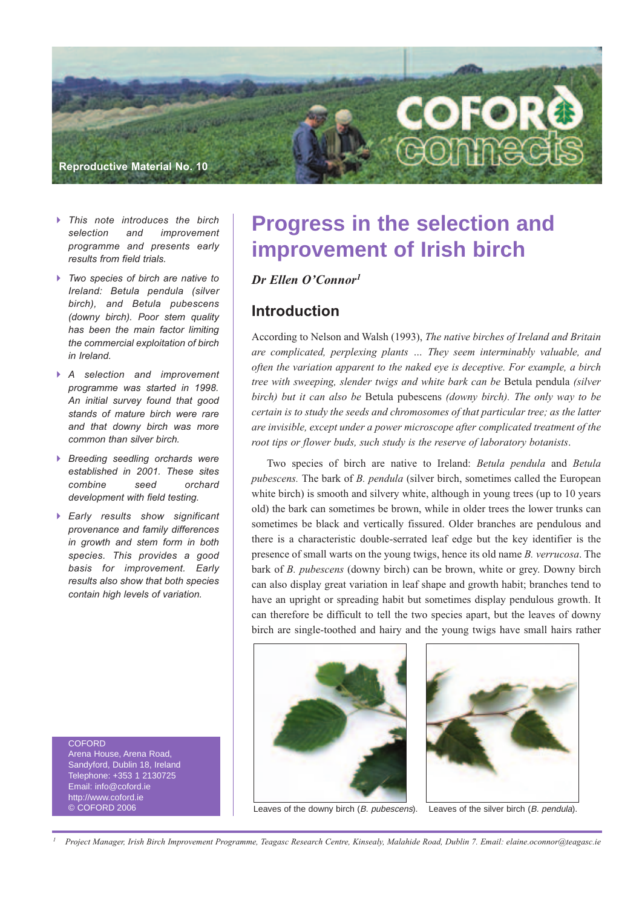

- *This note introduces the birch selection and improvement programme and presents early results from field trials.*
- *Two species of birch are native to Ireland: Betula pendula (silver birch), and Betula pubescens (downy birch). Poor stem quality has been the main factor limiting the commercial exploitation of birch in Ireland.*
- *A selection and improvement programme was started in 1998. An initial survey found that good stands of mature birch were rare and that downy birch was more common than silver birch.*
- *Breeding seedling orchards were established in 2001. These sites combine seed orchard development with field testing.*
- *Early results show significant provenance and family differences in growth and stem form in both species. This provides a good basis for improvement. Early results also show that both species contain high levels of variation.*

**COEORD** Arena House, Arena Road, Sandyford, Dublin 18, Ireland Telephone: +353 1 2130725 Email: info@coford.ie http://www.coford.ie © COFORD 2006

# **Progress in the selection and improvement of Irish birch**

### *Dr Ellen O'Connor1*

### **Introduction**

According to Nelson and Walsh (1993), *The native birches of Ireland and Britain are complicated, perplexing plants … They seem interminably valuable, and often the variation apparent to the naked eye is deceptive. For example, a birch tree with sweeping, slender twigs and white bark can be* Betula pendula *(silver birch) but it can also be* Betula pubescens *(downy birch). The only way to be certain is to study the seeds and chromosomes of that particular tree; as the latter are invisible, except under a power microscope after complicated treatment of the root tips or flower buds, such study is the reserve of laboratory botanists*.

Two species of birch are native to Ireland: *Betula pendula* and *Betula pubescens.* The bark of *B. pendula* (silver birch, sometimes called the European white birch) is smooth and silvery white, although in young trees (up to 10 years old) the bark can sometimes be brown, while in older trees the lower trunks can sometimes be black and vertically fissured. Older branches are pendulous and there is a characteristic double-serrated leaf edge but the key identifier is the presence of small warts on the young twigs, hence its old name *B. verrucosa*. The bark of *B. pubescens* (downy birch) can be brown, white or grey. Downy birch can also display great variation in leaf shape and growth habit; branches tend to have an upright or spreading habit but sometimes display pendulous growth. It can therefore be difficult to tell the two species apart, but the leaves of downy birch are single-toothed and hairy and the young twigs have small hairs rather



Leaves of the downy birch (B. pubescens). Leaves of the silver birch (B. pendula).



Project Manager, Irish Birch Improvement Programme, Teagasc Research Centre, Kinsealy, Malahide Road, Dublin 7. Email: elaine.oconnor@teagasc.ie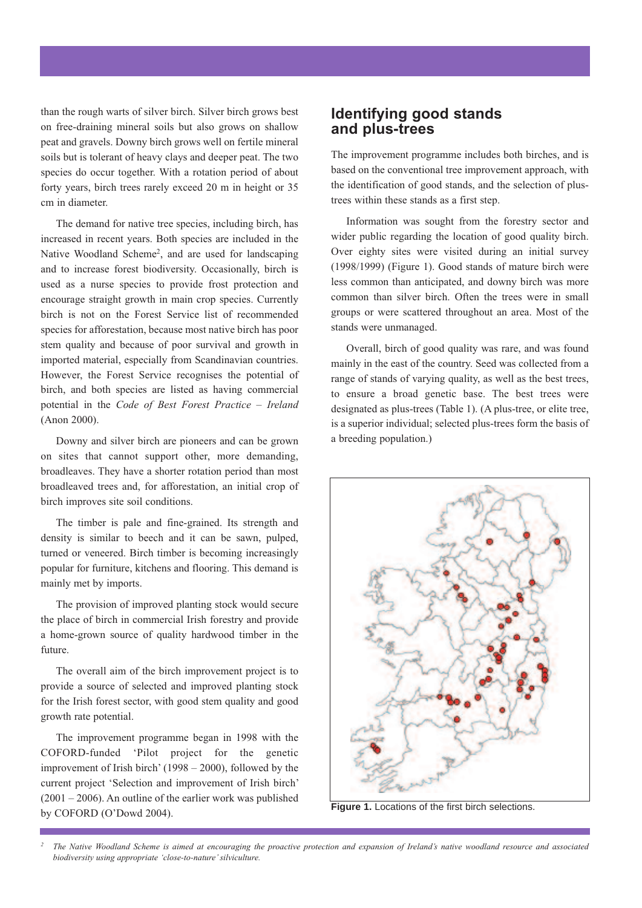than the rough warts of silver birch. Silver birch grows best on free-draining mineral soils but also grows on shallow peat and gravels. Downy birch grows well on fertile mineral soils but is tolerant of heavy clays and deeper peat. The two species do occur together. With a rotation period of about forty years, birch trees rarely exceed 20 m in height or 35 cm in diameter.

The demand for native tree species, including birch, has increased in recent years. Both species are included in the Native Woodland Scheme<sup>2</sup>, and are used for landscaping and to increase forest biodiversity. Occasionally, birch is used as a nurse species to provide frost protection and encourage straight growth in main crop species. Currently birch is not on the Forest Service list of recommended species for afforestation, because most native birch has poor stem quality and because of poor survival and growth in imported material, especially from Scandinavian countries. However, the Forest Service recognises the potential of birch, and both species are listed as having commercial potential in the *Code of Best Forest Practice – Ireland* (Anon 2000).

Downy and silver birch are pioneers and can be grown on sites that cannot support other, more demanding, broadleaves. They have a shorter rotation period than most broadleaved trees and, for afforestation, an initial crop of birch improves site soil conditions.

The timber is pale and fine-grained. Its strength and density is similar to beech and it can be sawn, pulped, turned or veneered. Birch timber is becoming increasingly popular for furniture, kitchens and flooring. This demand is mainly met by imports.

The provision of improved planting stock would secure the place of birch in commercial Irish forestry and provide a home-grown source of quality hardwood timber in the future.

The overall aim of the birch improvement project is to provide a source of selected and improved planting stock for the Irish forest sector, with good stem quality and good growth rate potential.

The improvement programme began in 1998 with the COFORD-funded 'Pilot project for the genetic improvement of Irish birch' (1998 – 2000), followed by the current project 'Selection and improvement of Irish birch'  $(2001 - 2006)$ . An outline of the earlier work was published by COFORD (O'Dowd 2004).

### **Identifying good stands and plus-trees**

The improvement programme includes both birches, and is based on the conventional tree improvement approach, with the identification of good stands, and the selection of plustrees within these stands as a first step.

Information was sought from the forestry sector and wider public regarding the location of good quality birch. Over eighty sites were visited during an initial survey (1998/1999) (Figure 1). Good stands of mature birch were less common than anticipated, and downy birch was more common than silver birch. Often the trees were in small groups or were scattered throughout an area. Most of the stands were unmanaged.

Overall, birch of good quality was rare, and was found mainly in the east of the country. Seed was collected from a range of stands of varying quality, as well as the best trees, to ensure a broad genetic base. The best trees were designated as plus-trees (Table 1). (A plus-tree, or elite tree, is a superior individual; selected plus-trees form the basis of a breeding population.)



**Figure 1.** Locations of the first birch selections.

The Native Woodland Scheme is aimed at encouraging the proactive protection and expansion of Ireland's native woodland resource and associated *biodiversity using appropriate 'close-to-nature'silviculture.*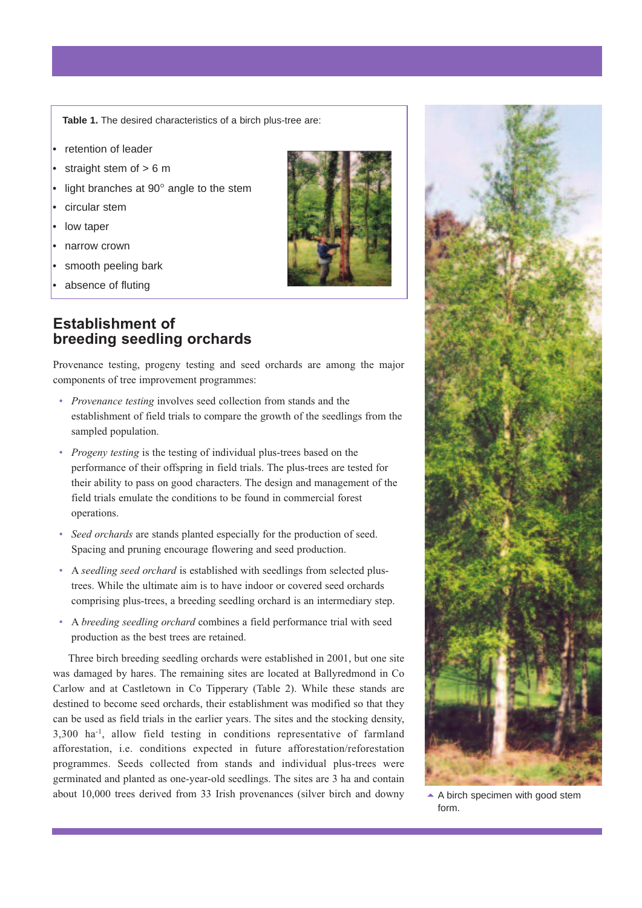**Table 1.** The desired characteristics of a birch plus-tree are:

- retention of leader
- straight stem of  $> 6$  m
- light branches at 90° angle to the stem
- circular stem
- low taper
- narrow crown
- smooth peeling bark
- absence of fluting

### **Establishment of breeding seedling orchards**

Provenance testing, progeny testing and seed orchards are among the major components of tree improvement programmes:

- *Provenance testing* involves seed collection from stands and the establishment of field trials to compare the growth of the seedlings from the sampled population.
- *Progeny testing* is the testing of individual plus-trees based on the performance of their offspring in field trials. The plus-trees are tested for their ability to pass on good characters. The design and management of the field trials emulate the conditions to be found in commercial forest operations.
- *Seed orchards* are stands planted especially for the production of seed. Spacing and pruning encourage flowering and seed production.
- A *seedling seed orchard* is established with seedlings from selected plustrees. While the ultimate aim is to have indoor or covered seed orchards comprising plus-trees, a breeding seedling orchard is an intermediary step.
- A *breeding seedling orchard* combines a field performance trial with seed production as the best trees are retained.

Three birch breeding seedling orchards were established in 2001, but one site was damaged by hares. The remaining sites are located at Ballyredmond in Co Carlow and at Castletown in Co Tipperary (Table 2). While these stands are destined to become seed orchards, their establishment was modified so that they can be used as field trials in the earlier years. The sites and the stocking density, 3,300 ha-1, allow field testing in conditions representative of farmland afforestation, i.e. conditions expected in future afforestation/reforestation programmes. Seeds collected from stands and individual plus-trees were germinated and planted as one-year-old seedlings. The sites are 3 ha and contain about 10,000 trees derived from 33 Irish provenances (silver birch and downy





A birch specimen with good stem form.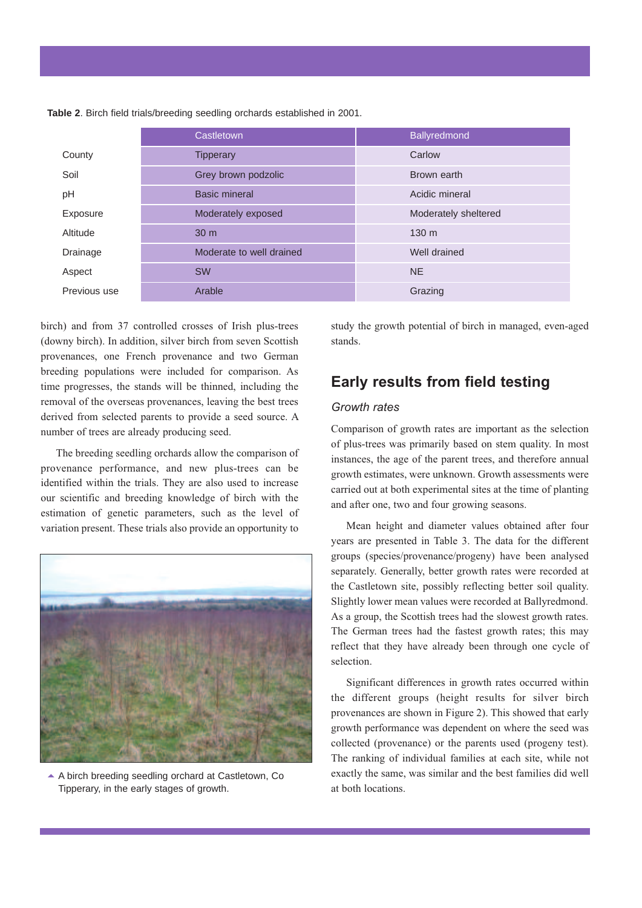|              | Castletown               | <b>Ballyredmond</b>  |  |
|--------------|--------------------------|----------------------|--|
| County       | <b>Tipperary</b>         | Carlow               |  |
| Soil         | Grey brown podzolic      | Brown earth          |  |
| pH           | <b>Basic mineral</b>     | Acidic mineral       |  |
| Exposure     | Moderately exposed       | Moderately sheltered |  |
| Altitude     | 30 <sub>m</sub>          | 130 <sub>m</sub>     |  |
| Drainage     | Moderate to well drained | Well drained         |  |
| Aspect       | <b>SW</b>                | <b>NE</b>            |  |
| Previous use | Arable                   | Grazing              |  |

**Table 2**. Birch field trials/breeding seedling orchards established in 2001.

birch) and from 37 controlled crosses of Irish plus-trees (downy birch). In addition, silver birch from seven Scottish provenances, one French provenance and two German breeding populations were included for comparison. As time progresses, the stands will be thinned, including the removal of the overseas provenances, leaving the best trees derived from selected parents to provide a seed source. A number of trees are already producing seed.

The breeding seedling orchards allow the comparison of provenance performance, and new plus-trees can be identified within the trials. They are also used to increase our scientific and breeding knowledge of birch with the estimation of genetic parameters, such as the level of variation present. These trials also provide an opportunity to



▲ A birch breeding seedling orchard at Castletown, Co Tipperary, in the early stages of growth.

study the growth potential of birch in managed, even-aged stands.

### **Early results from field testing**

#### *Growth rates*

Comparison of growth rates are important as the selection of plus-trees was primarily based on stem quality. In most instances, the age of the parent trees, and therefore annual growth estimates, were unknown. Growth assessments were carried out at both experimental sites at the time of planting and after one, two and four growing seasons.

Mean height and diameter values obtained after four years are presented in Table 3. The data for the different groups (species/provenance/progeny) have been analysed separately. Generally, better growth rates were recorded at the Castletown site, possibly reflecting better soil quality. Slightly lower mean values were recorded at Ballyredmond. As a group, the Scottish trees had the slowest growth rates. The German trees had the fastest growth rates; this may reflect that they have already been through one cycle of selection.

Significant differences in growth rates occurred within the different groups (height results for silver birch provenances are shown in Figure 2). This showed that early growth performance was dependent on where the seed was collected (provenance) or the parents used (progeny test). The ranking of individual families at each site, while not exactly the same, was similar and the best families did well at both locations.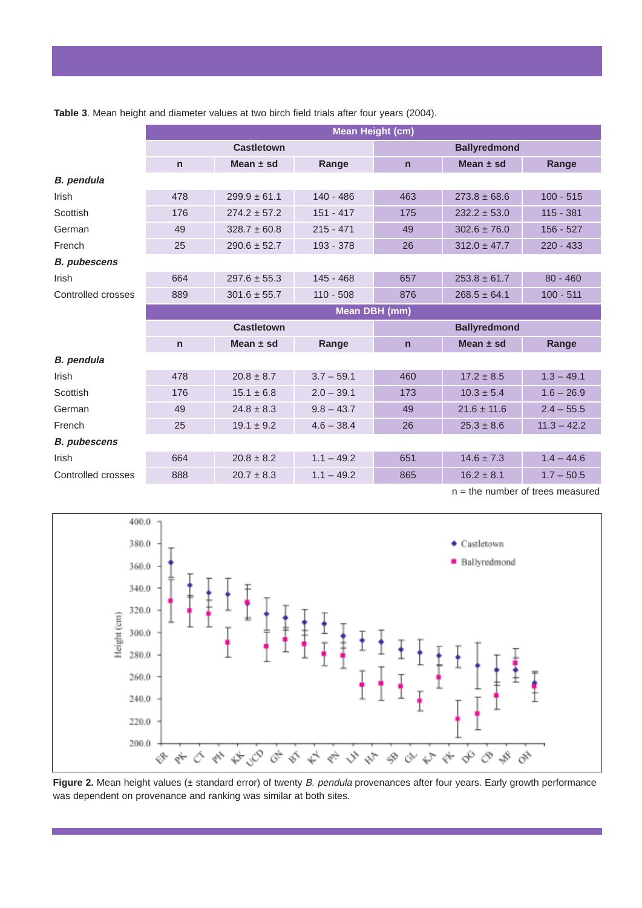|                     | <b>Mean Height (cm)</b> |                  |              |                     |                  |               |  |  |
|---------------------|-------------------------|------------------|--------------|---------------------|------------------|---------------|--|--|
|                     | <b>Castletown</b>       |                  |              | <b>Ballyredmond</b> |                  |               |  |  |
|                     | $\mathsf{n}$            | Mean $\pm$ sd    | Range        | $\mathsf{n}$        | Mean $±$ sd      | Range         |  |  |
| <b>B.</b> pendula   |                         |                  |              |                     |                  |               |  |  |
| <b>Irish</b>        | 478                     | $299.9 \pm 61.1$ | $140 - 486$  | 463                 | $273.8 \pm 68.6$ | $100 - 515$   |  |  |
| Scottish            | 176                     | $274.2 \pm 57.2$ | $151 - 417$  | 175                 | $232.2 \pm 53.0$ | $115 - 381$   |  |  |
| German              | 49                      | $328.7 \pm 60.8$ | $215 - 471$  | 49                  | $302.6 \pm 76.0$ | $156 - 527$   |  |  |
| French              | 25                      | $290.6 \pm 52.7$ | 193 - 378    | 26                  | $312.0 \pm 47.7$ | $220 - 433$   |  |  |
| <b>B.</b> pubescens |                         |                  |              |                     |                  |               |  |  |
| Irish               | 664                     | $297.6 \pm 55.3$ | $145 - 468$  | 657                 | $253.8 \pm 61.7$ | $80 - 460$    |  |  |
| Controlled crosses  | 889                     | $301.6 \pm 55.7$ | $110 - 508$  | 876                 | $268.5 \pm 64.1$ | $100 - 511$   |  |  |
|                     | Mean DBH (mm)           |                  |              |                     |                  |               |  |  |
|                     | <b>Castletown</b>       |                  |              | <b>Ballyredmond</b> |                  |               |  |  |
|                     | $\mathsf{n}$            | Mean $±$ sd      | Range        | $\mathsf{n}$        | Mean $±$ sd      | Range         |  |  |
| <b>B.</b> pendula   |                         |                  |              |                     |                  |               |  |  |
| <b>Irish</b>        | 478                     | $20.8 \pm 8.7$   | $3.7 - 59.1$ | 460                 | $17.2 \pm 8.5$   | $1.3 - 49.1$  |  |  |
| Scottish            | 176                     | $15.1 \pm 6.8$   | $2.0 - 39.1$ | 173                 | $10.3 \pm 5.4$   | $1.6 - 26.9$  |  |  |
| German              | 49                      | $24.8 \pm 8.3$   | $9.8 - 43.7$ | 49                  | $21.6 \pm 11.6$  | $2.4 - 55.5$  |  |  |
| French              | 25                      | $19.1 \pm 9.2$   | $4.6 - 38.4$ | 26                  | $25.3 \pm 8.6$   | $11.3 - 42.2$ |  |  |
| <b>B.</b> pubescens |                         |                  |              |                     |                  |               |  |  |
| Irish               | 664                     | $20.8 \pm 8.2$   | $1.1 - 49.2$ | 651                 | $14.6 \pm 7.3$   | $1.4 - 44.6$  |  |  |
| Controlled crosses  | 888                     | $20.7 \pm 8.3$   | $1.1 - 49.2$ | 865                 | $16.2 \pm 8.1$   | $1.7 - 50.5$  |  |  |

**Table 3**. Mean height and diameter values at two birch field trials after four years (2004).

n = the number of trees measured



**Figure 2.** Mean height values (± standard error) of twenty B. pendula provenances after four years. Early growth performance was dependent on provenance and ranking was similar at both sites.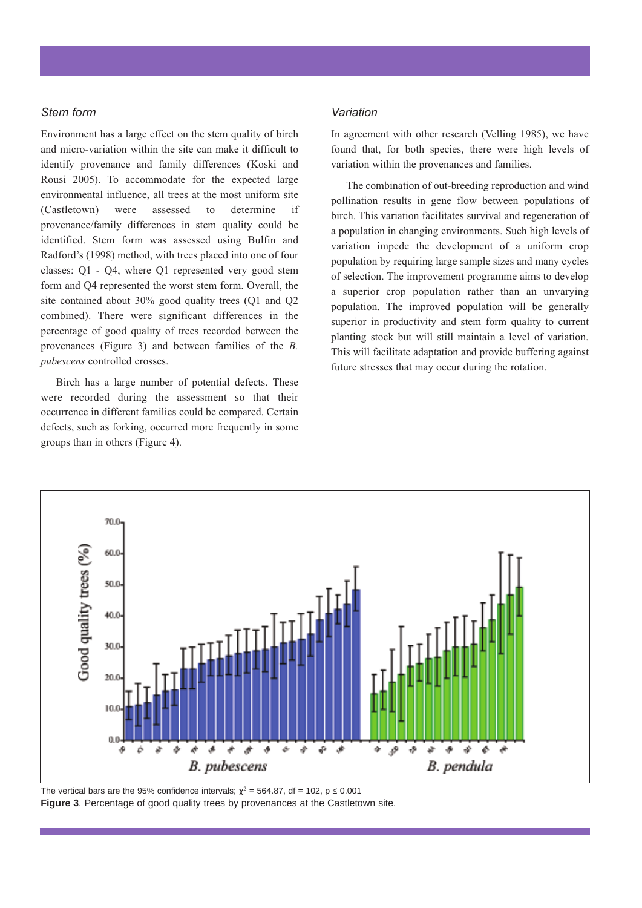#### *Stem form*

Environment has a large effect on the stem quality of birch and micro-variation within the site can make it difficult to identify provenance and family differences (Koski and Rousi 2005). To accommodate for the expected large environmental influence, all trees at the most uniform site (Castletown) were assessed to determine if provenance/family differences in stem quality could be identified. Stem form was assessed using Bulfin and Radford's (1998) method, with trees placed into one of four classes: Q1 - Q4, where Q1 represented very good stem form and Q4 represented the worst stem form. Overall, the site contained about 30% good quality trees (Q1 and Q2 combined). There were significant differences in the percentage of good quality of trees recorded between the provenances (Figure 3) and between families of the *B. pubescens* controlled crosses.

Birch has a large number of potential defects. These were recorded during the assessment so that their occurrence in different families could be compared. Certain defects, such as forking, occurred more frequently in some groups than in others (Figure 4).

#### *Variation*

In agreement with other research (Velling 1985), we have found that, for both species, there were high levels of variation within the provenances and families.

The combination of out-breeding reproduction and wind pollination results in gene flow between populations of birch. This variation facilitates survival and regeneration of a population in changing environments. Such high levels of variation impede the development of a uniform crop population by requiring large sample sizes and many cycles of selection. The improvement programme aims to develop a superior crop population rather than an unvarying population. The improved population will be generally superior in productivity and stem form quality to current planting stock but will still maintain a level of variation. This will facilitate adaptation and provide buffering against future stresses that may occur during the rotation.



The vertical bars are the 95% confidence intervals;  $\chi^2 = 564.87$ , df = 102, p 0.001 **Figure 3**. Percentage of good quality trees by provenances at the Castletown site.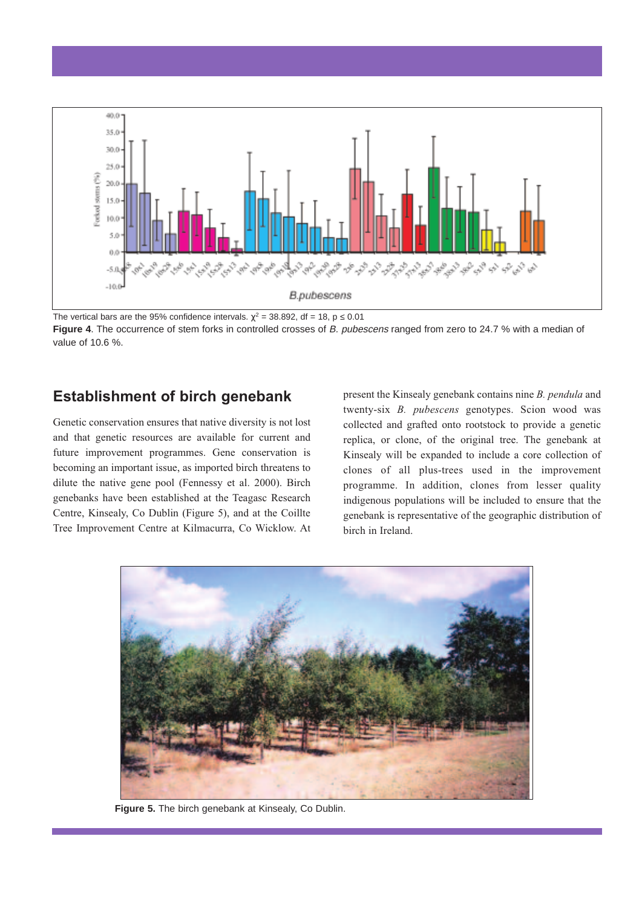

The vertical bars are the 95% confidence intervals.  $\chi^2$  = 38.892, df = 18, p 0.01 **Figure 4**. The occurrence of stem forks in controlled crosses of B. pubescens ranged from zero to 24.7 % with a median of

## **Establishment of birch genebank**

Genetic conservation ensures that native diversity is not lost and that genetic resources are available for current and future improvement programmes. Gene conservation is becoming an important issue, as imported birch threatens to dilute the native gene pool (Fennessy et al. 2000). Birch genebanks have been established at the Teagasc Research Centre, Kinsealy, Co Dublin (Figure 5), and at the Coillte Tree Improvement Centre at Kilmacurra, Co Wicklow. At present the Kinsealy genebank contains nine *B. pendula* and twenty-six *B. pubescens* genotypes. Scion wood was collected and grafted onto rootstock to provide a genetic replica, or clone, of the original tree. The genebank at Kinsealy will be expanded to include a core collection of clones of all plus-trees used in the improvement programme. In addition, clones from lesser quality indigenous populations will be included to ensure that the genebank is representative of the geographic distribution of birch in Ireland.



**Figure 5.** The birch genebank at Kinsealy, Co Dublin.

value of 10.6 %.